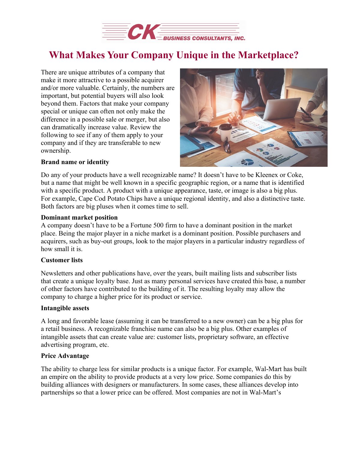

# **What Makes Your Company Unique in the Marketplace?**

There are unique attributes of a company that make it more attractive to a possible acquirer and/or more valuable. Certainly, the numbers are important, but potential buyers will also look beyond them. Factors that make your company special or unique can often not only make the difference in a possible sale or merger, but also can dramatically increase value. Review the following to see if any of them apply to your company and if they are transferable to new ownership.



### **Brand name or identity**

Do any of your products have a well recognizable name? It doesn't have to be Kleenex or Coke, but a name that might be well known in a specific geographic region, or a name that is identified with a specific product. A product with a unique appearance, taste, or image is also a big plus. For example, Cape Cod Potato Chips have a unique regional identity, and also a distinctive taste. Both factors are big pluses when it comes time to sell.

#### **Dominant market position**

A company doesn't have to be a Fortune 500 firm to have a dominant position in the market place. Being the major player in a niche market is a dominant position. Possible purchasers and acquirers, such as buy-out groups, look to the major players in a particular industry regardless of how small it is.

#### **Customer lists**

Newsletters and other publications have, over the years, built mailing lists and subscriber lists that create a unique loyalty base. Just as many personal services have created this base, a number of other factors have contributed to the building of it. The resulting loyalty may allow the company to charge a higher price for its product or service.

#### **Intangible assets**

A long and favorable lease (assuming it can be transferred to a new owner) can be a big plus for a retail business. A recognizable franchise name can also be a big plus. Other examples of intangible assets that can create value are: customer lists, proprietary software, an effective advertising program, etc.

#### **Price Advantage**

The ability to charge less for similar products is a unique factor. For example, Wal-Mart has built an empire on the ability to provide products at a very low price. Some companies do this by building alliances with designers or manufacturers. In some cases, these alliances develop into partnerships so that a lower price can be offered. Most companies are not in Wal-Mart's